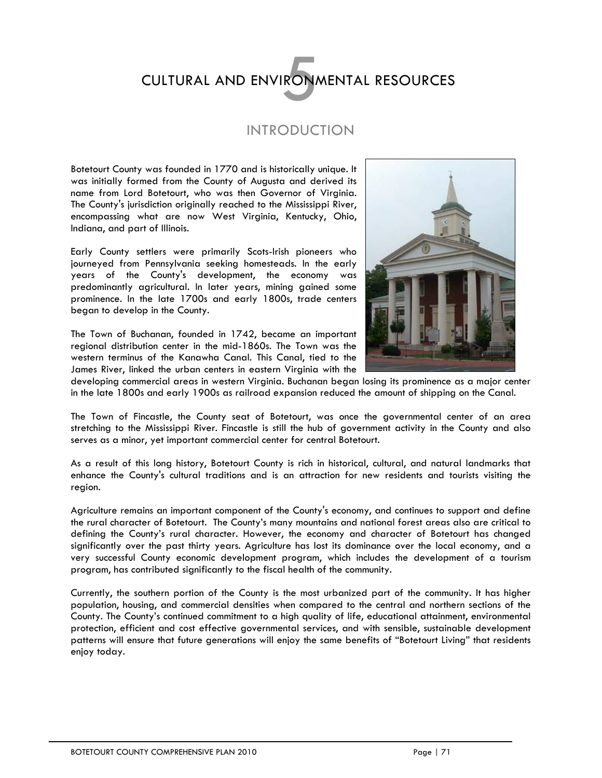# CULTURAL AND ENVIRONMENTAL RESOURCES

# INTRODUCTION

Botetourt County was founded in 1770 and is historically unique. It was initially formed from the County of Augusta and derived its name from Lord Botetourt, who was then Governor of Virginia. The County's jurisdiction originally reached to the Mississippi River, encompassing what are now West Virginia, Kentucky, Ohio, Indiana, and part of Illinois.

Early County settlers were primarily Scots-Irish pioneers who journeyed from Pennsylvania seeking homesteads. In the early years of the County's development, the economy was predominantly agricultural. In later years, mining gained some prominence. In the late 1700s and early 1800s, trade centers began to develop in the County.

The Town of Buchanan, founded in 1742, became an important regional distribution center in the mid-1860s. The Town was the western terminus of the Kanawha Canal. This Canal, tied to the James River, linked the urban centers in eastern Virginia with the



developing commercial areas in western Virginia. Buchanan began losing its prominence as a major center in the late 1800s and early 1900s as railroad expansion reduced the amount of shipping on the Canal.

The Town of Fincastle, the County seat of Botetourt, was once the governmental center of an area stretching to the Mississippi River. Fincastle is still the hub of government activity in the County and also serves as a minor, yet important commercial center for central Botetourt.

As a result of this long history, Botetourt County is rich in historical, cultural, and natural landmarks that enhance the County's cultural traditions and is an attraction for new residents and tourists visiting the region.

Agriculture remains an important component of the County's economy, and continues to support and define the rural character of Botetourt. The County's many mountains and national forest areas also are critical to defining the County's rural character. However, the economy and character of Botetourt has changed significantly over the past thirty years. Agriculture has lost its dominance over the local economy, and a very successful County economic development program, which includes the development of a tourism program, has contributed significantly to the fiscal health of the community.

Currently, the southern portion of the County is the most urbanized part of the community. It has higher population, housing, and commercial densities when compared to the central and northern sections of the County. The County's continued commitment to a high quality of life, educational attainment, environmental protection, efficient and cost effective governmental services, and with sensible, sustainable development patterns will ensure that future generations will enjoy the same benefits of "Botetourt Living" that residents enjoy today.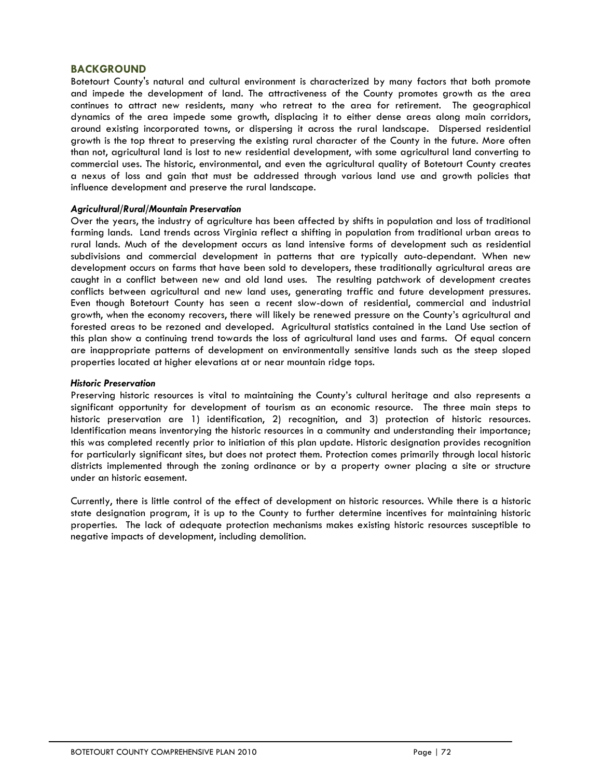### **BACKGROUND**

Botetourt County's natural and cultural environment is characterized by many factors that both promote and impede the development of land. The attractiveness of the County promotes growth as the area continues to attract new residents, many who retreat to the area for retirement. The geographical dynamics of the area impede some growth, displacing it to either dense areas along main corridors, around existing incorporated towns, or dispersing it across the rural landscape. Dispersed residential growth is the top threat to preserving the existing rural character of the County in the future. More often than not, agricultural land is lost to new residential development, with some agricultural land converting to commercial uses. The historic, environmental, and even the agricultural quality of Botetourt County creates a nexus of loss and gain that must be addressed through various land use and growth policies that influence development and preserve the rural landscape.

#### *Agricultural/Rural/Mountain Preservation*

Over the years, the industry of agriculture has been affected by shifts in population and loss of traditional farming lands. Land trends across Virginia reflect a shifting in population from traditional urban areas to rural lands. Much of the development occurs as land intensive forms of development such as residential subdivisions and commercial development in patterns that are typically auto-dependant. When new development occurs on farms that have been sold to developers, these traditionally agricultural areas are caught in a conflict between new and old land uses. The resulting patchwork of development creates conflicts between agricultural and new land uses, generating traffic and future development pressures. Even though Botetourt County has seen a recent slow-down of residential, commercial and industrial growth, when the economy recovers, there will likely be renewed pressure on the County's agricultural and forested areas to be rezoned and developed. Agricultural statistics contained in the Land Use section of this plan show a continuing trend towards the loss of agricultural land uses and farms. Of equal concern are inappropriate patterns of development on environmentally sensitive lands such as the steep sloped properties located at higher elevations at or near mountain ridge tops.

#### *Historic Preservation*

Preserving historic resources is vital to maintaining the County's cultural heritage and also represents a significant opportunity for development of tourism as an economic resource. The three main steps to historic preservation are 1) identification, 2) recognition, and 3) protection of historic resources. Identification means inventorying the historic resources in a community and understanding their importance; this was completed recently prior to initiation of this plan update. Historic designation provides recognition for particularly significant sites, but does not protect them. Protection comes primarily through local historic districts implemented through the zoning ordinance or by a property owner placing a site or structure under an historic easement.

Currently, there is little control of the effect of development on historic resources. While there is a historic state designation program, it is up to the County to further determine incentives for maintaining historic properties. The lack of adequate protection mechanisms makes existing historic resources susceptible to negative impacts of development, including demolition.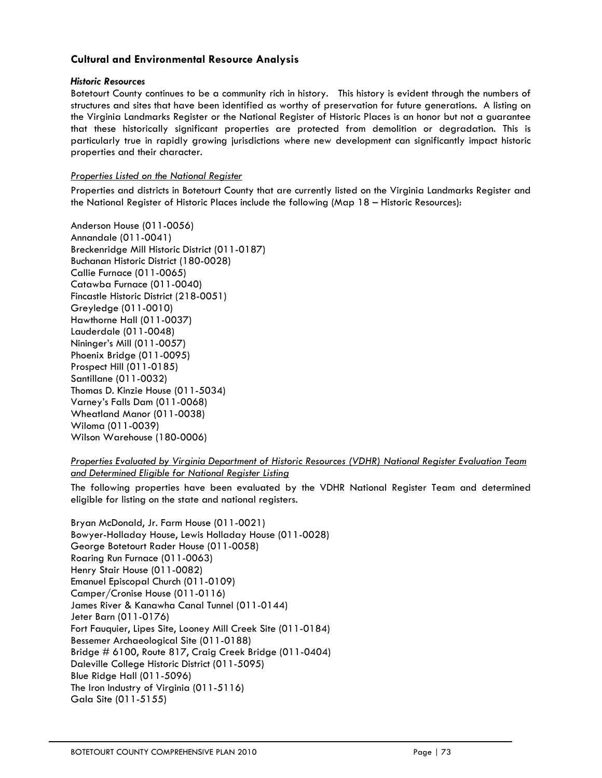# **Cultural and Environmental Resource Analysis**

#### *Historic Resources*

Botetourt County continues to be a community rich in history. This history is evident through the numbers of structures and sites that have been identified as worthy of preservation for future generations. A listing on the Virginia Landmarks Register or the National Register of Historic Places is an honor but not a guarantee that these historically significant properties are protected from demolition or degradation. This is particularly true in rapidly growing jurisdictions where new development can significantly impact historic properties and their character.

# *Properties Listed on the National Register*

Properties and districts in Botetourt County that are currently listed on the Virginia Landmarks Register and the National Register of Historic Places include the following (Map 18 – Historic Resources):

Anderson House (011-0056) Annandale (011-0041) Breckenridge Mill Historic District (011-0187) Buchanan Historic District (180-0028) Callie Furnace (011-0065) Catawba Furnace (011-0040) Fincastle Historic District (218-0051) Greyledge (011-0010) Hawthorne Hall (011-0037) Lauderdale (011-0048) Nininger's Mill (011-0057) Phoenix Bridge (011-0095) Prospect Hill (011-0185) Santillane (011-0032) Thomas D. Kinzie House (011-5034) Varney's Falls Dam (011-0068) Wheatland Manor (011-0038) Wiloma (011-0039) Wilson Warehouse (180-0006)

*Properties Evaluated by Virginia Department of Historic Resources (VDHR) National Register Evaluation Team and Determined Eligible for National Register Listing*

The following properties have been evaluated by the VDHR National Register Team and determined eligible for listing on the state and national registers.

Bryan McDonald, Jr. Farm House (011-0021) Bowyer-Holladay House, Lewis Holladay House (011-0028) George Botetourt Rader House (011-0058) Roaring Run Furnace (011-0063) Henry Stair House (011-0082) Emanuel Episcopal Church (011-0109) Camper/Cronise House (011-0116) James River & Kanawha Canal Tunnel (011-0144) Jeter Barn (011-0176) Fort Fauquier, Lipes Site, Looney Mill Creek Site (011-0184) Bessemer Archaeological Site (011-0188) Bridge # 6100, Route 817, Craig Creek Bridge (011-0404) Daleville College Historic District (011-5095) Blue Ridge Hall (011-5096) The Iron Industry of Virginia (011-5116) Gala Site (011-5155)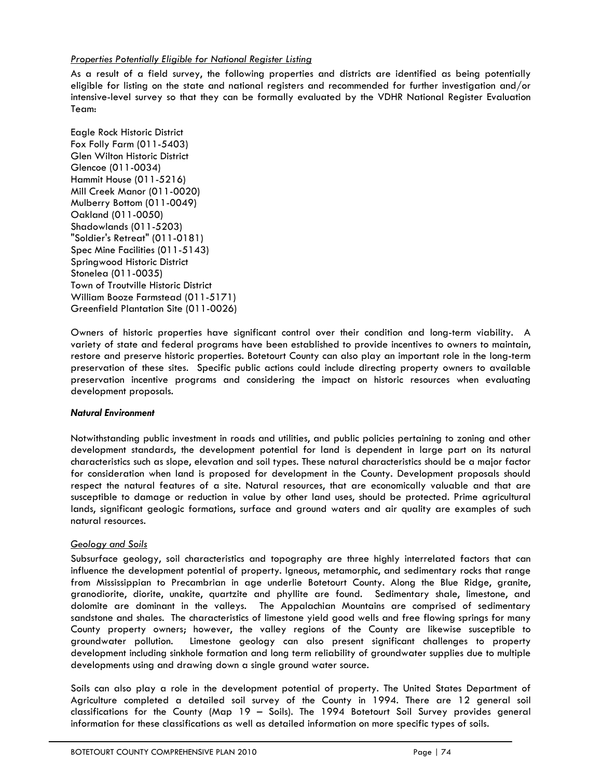### *Properties Potentially Eligible for National Register Listing*

As a result of a field survey, the following properties and districts are identified as being potentially eligible for listing on the state and national registers and recommended for further investigation and/or intensive-level survey so that they can be formally evaluated by the VDHR National Register Evaluation Team:

Eagle Rock Historic District Fox Folly Farm (011-5403) Glen Wilton Historic District Glencoe (011-0034) Hammit House (011-5216) Mill Creek Manor (011-0020) Mulberry Bottom (011-0049) Oakland (011-0050) Shadowlands (011-5203) "Soldier's Retreat" (011-0181) Spec Mine Facilities (011-5143) Springwood Historic District Stonelea (011-0035) Town of Troutville Historic District William Booze Farmstead (011-5171) Greenfield Plantation Site (011-0026)

Owners of historic properties have significant control over their condition and long-term viability. A variety of state and federal programs have been established to provide incentives to owners to maintain, restore and preserve historic properties. Botetourt County can also play an important role in the long-term preservation of these sites. Specific public actions could include directing property owners to available preservation incentive programs and considering the impact on historic resources when evaluating development proposals.

#### *Natural Environment*

Notwithstanding public investment in roads and utilities, and public policies pertaining to zoning and other development standards, the development potential for land is dependent in large part on its natural characteristics such as slope, elevation and soil types. These natural characteristics should be a major factor for consideration when land is proposed for development in the County. Development proposals should respect the natural features of a site. Natural resources, that are economically valuable and that are susceptible to damage or reduction in value by other land uses, should be protected. Prime agricultural lands, significant geologic formations, surface and ground waters and air quality are examples of such natural resources.

#### *Geology and Soils*

Subsurface geology, soil characteristics and topography are three highly interrelated factors that can influence the development potential of property. Igneous, metamorphic, and sedimentary rocks that range from Mississippian to Precambrian in age underlie Botetourt County. Along the Blue Ridge, granite, granodiorite, diorite, unakite, quartzite and phyllite are found. Sedimentary shale, limestone, and dolomite are dominant in the valleys. The Appalachian Mountains are comprised of sedimentary sandstone and shales. The characteristics of limestone yield good wells and free flowing springs for many County property owners; however, the valley regions of the County are likewise susceptible to groundwater pollution. Limestone geology can also present significant challenges to property development including sinkhole formation and long term reliability of groundwater supplies due to multiple developments using and drawing down a single ground water source.

Soils can also play a role in the development potential of property. The United States Department of Agriculture completed a detailed soil survey of the County in 1994. There are 12 general soil classifications for the County (Map 19 – Soils). The 1994 Botetourt Soil Survey provides general information for these classifications as well as detailed information on more specific types of soils.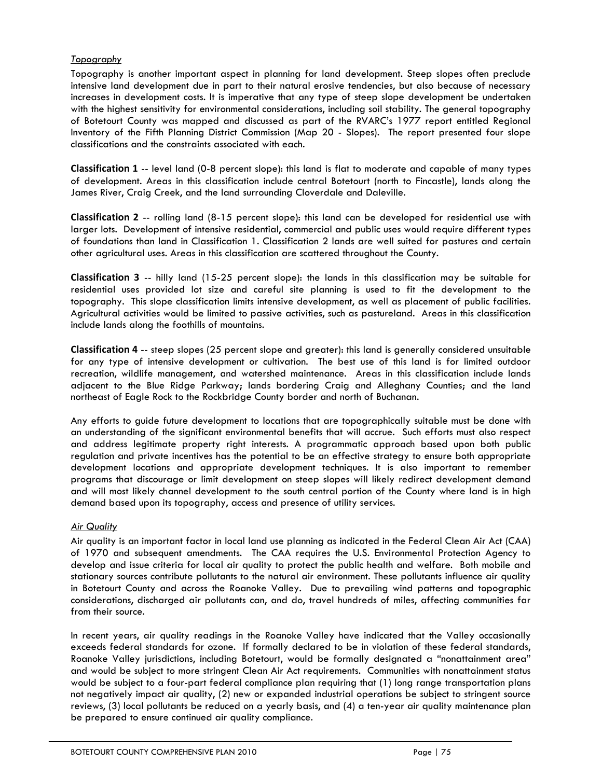# *Topography*

Topography is another important aspect in planning for land development. Steep slopes often preclude intensive land development due in part to their natural erosive tendencies, but also because of necessary increases in development costs. It is imperative that any type of steep slope development be undertaken with the highest sensitivity for environmental considerations, including soil stability. The general topography of Botetourt County was mapped and discussed as part of the RVARC's 1977 report entitled Regional Inventory of the Fifth Planning District Commission (Map 20 - Slopes). The report presented four slope classifications and the constraints associated with each.

**Classification 1** -- level land (0-8 percent slope): this land is flat to moderate and capable of many types of development. Areas in this classification include central Botetourt (north to Fincastle), lands along the James River, Craig Creek, and the land surrounding Cloverdale and Daleville.

**Classification 2** -- rolling land (8-15 percent slope): this land can be developed for residential use with larger lots. Development of intensive residential, commercial and public uses would require different types of foundations than land in Classification 1. Classification 2 lands are well suited for pastures and certain other agricultural uses. Areas in this classification are scattered throughout the County.

**Classification 3** -- hilly land (15-25 percent slope): the lands in this classification may be suitable for residential uses provided lot size and careful site planning is used to fit the development to the topography. This slope classification limits intensive development, as well as placement of public facilities. Agricultural activities would be limited to passive activities, such as pastureland. Areas in this classification include lands along the foothills of mountains.

**Classification 4** -- steep slopes (25 percent slope and greater): this land is generally considered unsuitable for any type of intensive development or cultivation. The best use of this land is for limited outdoor recreation, wildlife management, and watershed maintenance. Areas in this classification include lands adjacent to the Blue Ridge Parkway; lands bordering Craig and Alleghany Counties; and the land northeast of Eagle Rock to the Rockbridge County border and north of Buchanan.

Any efforts to guide future development to locations that are topographically suitable must be done with an understanding of the significant environmental benefits that will accrue. Such efforts must also respect and address legitimate property right interests. A programmatic approach based upon both public regulation and private incentives has the potential to be an effective strategy to ensure both appropriate development locations and appropriate development techniques. It is also important to remember programs that discourage or limit development on steep slopes will likely redirect development demand and will most likely channel development to the south central portion of the County where land is in high demand based upon its topography, access and presence of utility services.

# *Air Quality*

Air quality is an important factor in local land use planning as indicated in the Federal Clean Air Act (CAA) of 1970 and subsequent amendments. The CAA requires the U.S. Environmental Protection Agency to develop and issue criteria for local air quality to protect the public health and welfare. Both mobile and stationary sources contribute pollutants to the natural air environment. These pollutants influence air quality in Botetourt County and across the Roanoke Valley. Due to prevailing wind patterns and topographic considerations, discharged air pollutants can, and do, travel hundreds of miles, affecting communities far from their source.

In recent years, air quality readings in the Roanoke Valley have indicated that the Valley occasionally exceeds federal standards for ozone. If formally declared to be in violation of these federal standards, Roanoke Valley jurisdictions, including Botetourt, would be formally designated a "nonattainment area" and would be subject to more stringent Clean Air Act requirements. Communities with nonattainment status would be subject to a four-part federal compliance plan requiring that (1) long range transportation plans not negatively impact air quality, (2) new or expanded industrial operations be subject to stringent source reviews, (3) local pollutants be reduced on a yearly basis, and (4) a ten-year air quality maintenance plan be prepared to ensure continued air quality compliance.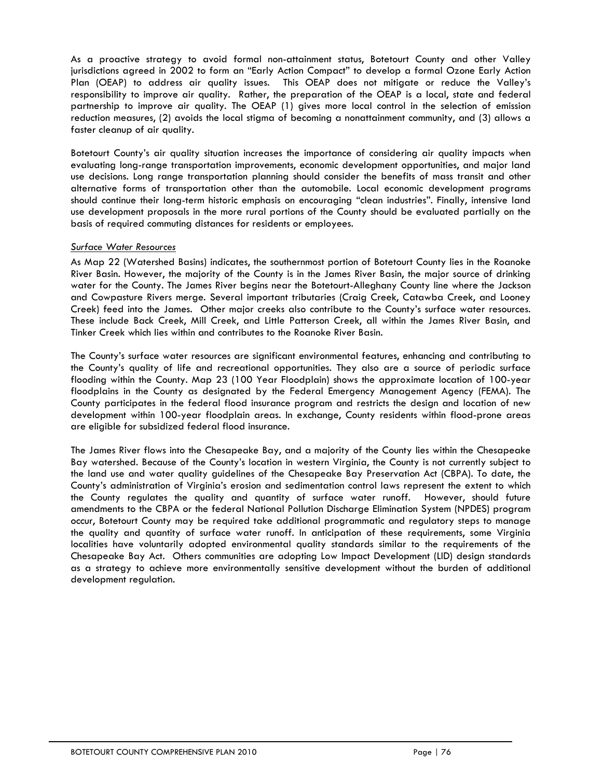As a proactive strategy to avoid formal non-attainment status, Botetourt County and other Valley jurisdictions agreed in 2002 to form an "Early Action Compact" to develop a formal Ozone Early Action Plan (OEAP) to address air quality issues. This OEAP does not mitigate or reduce the Valley's responsibility to improve air quality. Rather, the preparation of the OEAP is a local, state and federal partnership to improve air quality. The OEAP (1) gives more local control in the selection of emission reduction measures, (2) avoids the local stigma of becoming a nonattainment community, and (3) allows a faster cleanup of air quality.

Botetourt County's air quality situation increases the importance of considering air quality impacts when evaluating long-range transportation improvements, economic development opportunities, and major land use decisions. Long range transportation planning should consider the benefits of mass transit and other alternative forms of transportation other than the automobile. Local economic development programs should continue their long-term historic emphasis on encouraging "clean industries". Finally, intensive land use development proposals in the more rural portions of the County should be evaluated partially on the basis of required commuting distances for residents or employees.

### *Surface Water Resources*

As Map 22 (Watershed Basins) indicates, the southernmost portion of Botetourt County lies in the Roanoke River Basin. However, the majority of the County is in the James River Basin, the major source of drinking water for the County. The James River begins near the Botetourt-Alleghany County line where the Jackson and Cowpasture Rivers merge. Several important tributaries (Craig Creek, Catawba Creek, and Looney Creek) feed into the James. Other major creeks also contribute to the County's surface water resources. These include Back Creek, Mill Creek, and Little Patterson Creek, all within the James River Basin, and Tinker Creek which lies within and contributes to the Roanoke River Basin.

The County's surface water resources are significant environmental features, enhancing and contributing to the County's quality of life and recreational opportunities. They also are a source of periodic surface flooding within the County. Map 23 (100 Year Floodplain) shows the approximate location of 100-year floodplains in the County as designated by the Federal Emergency Management Agency (FEMA). The County participates in the federal flood insurance program and restricts the design and location of new development within 100-year floodplain areas. In exchange, County residents within flood-prone areas are eligible for subsidized federal flood insurance.

The James River flows into the Chesapeake Bay, and a majority of the County lies within the Chesapeake Bay watershed. Because of the County's location in western Virginia, the County is not currently subject to the land use and water quality guidelines of the Chesapeake Bay Preservation Act (CBPA). To date, the County's administration of Virginia's erosion and sedimentation control laws represent the extent to which the County regulates the quality and quantity of surface water runoff. However, should future amendments to the CBPA or the federal National Pollution Discharge Elimination System (NPDES) program occur, Botetourt County may be required take additional programmatic and regulatory steps to manage the quality and quantity of surface water runoff. In anticipation of these requirements, some Virginia localities have voluntarily adopted environmental quality standards similar to the requirements of the Chesapeake Bay Act. Others communities are adopting Low Impact Development (LID) design standards as a strategy to achieve more environmentally sensitive development without the burden of additional development regulation.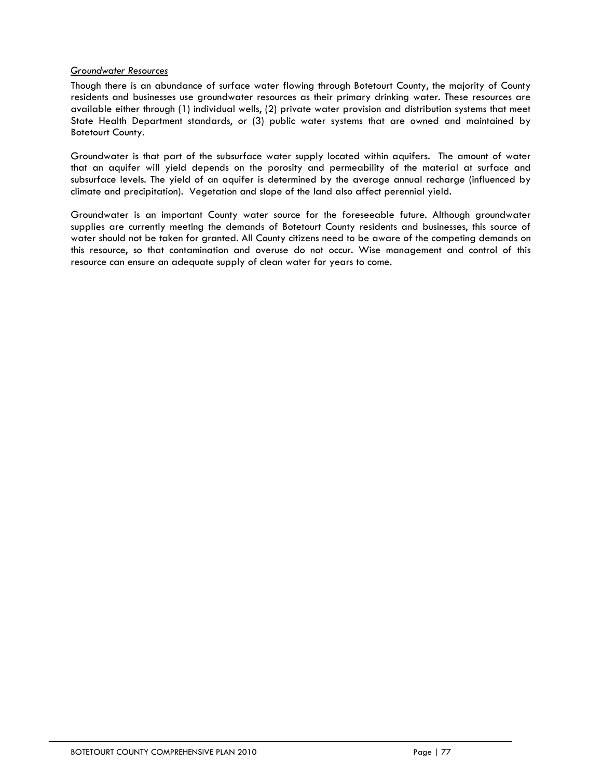### *Groundwater Resources*

Though there is an abundance of surface water flowing through Botetourt County, the majority of County residents and businesses use groundwater resources as their primary drinking water. These resources are available either through (1) individual wells, (2) private water provision and distribution systems that meet State Health Department standards, or (3) public water systems that are owned and maintained by Botetourt County.

Groundwater is that part of the subsurface water supply located within aquifers. The amount of water that an aquifer will yield depends on the porosity and permeability of the material at surface and subsurface levels. The yield of an aquifer is determined by the average annual recharge (influenced by climate and precipitation). Vegetation and slope of the land also affect perennial yield.

Groundwater is an important County water source for the foreseeable future. Although groundwater supplies are currently meeting the demands of Botetourt County residents and businesses, this source of water should not be taken for granted. All County citizens need to be aware of the competing demands on this resource, so that contamination and overuse do not occur. Wise management and control of this resource can ensure an adequate supply of clean water for years to come.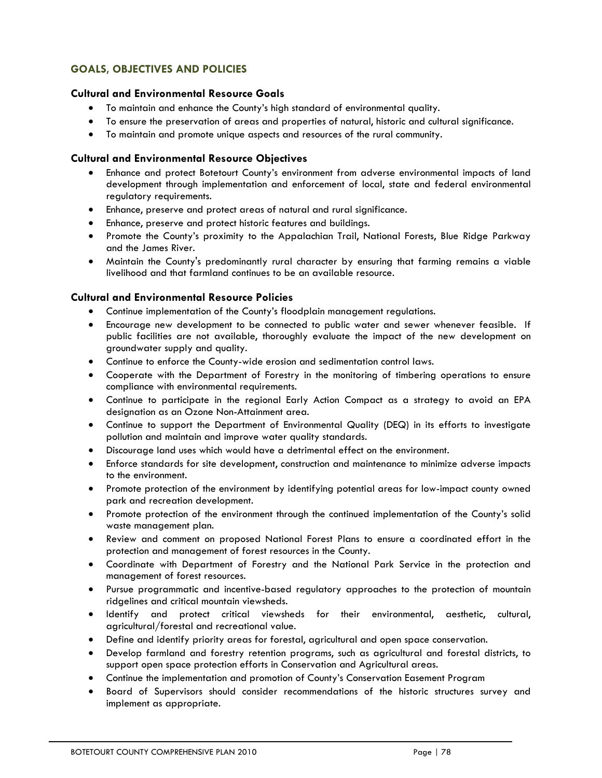# **GOALS, OBJECTIVES AND POLICIES**

# **Cultural and Environmental Resource Goals**

- To maintain and enhance the County's high standard of environmental quality.
- To ensure the preservation of areas and properties of natural, historic and cultural significance.
- To maintain and promote unique aspects and resources of the rural community.

# **Cultural and Environmental Resource Objectives**

- Enhance and protect Botetourt County's environment from adverse environmental impacts of land development through implementation and enforcement of local, state and federal environmental regulatory requirements.
- Enhance, preserve and protect areas of natural and rural significance.
- Enhance, preserve and protect historic features and buildings.
- Promote the County's proximity to the Appalachian Trail, National Forests, Blue Ridge Parkway and the James River.
- Maintain the County's predominantly rural character by ensuring that farming remains a viable livelihood and that farmland continues to be an available resource.

# **Cultural and Environmental Resource Policies**

- Continue implementation of the County's floodplain management regulations.
- Encourage new development to be connected to public water and sewer whenever feasible. If public facilities are not available, thoroughly evaluate the impact of the new development on groundwater supply and quality.
- Continue to enforce the County-wide erosion and sedimentation control laws.
- Cooperate with the Department of Forestry in the monitoring of timbering operations to ensure compliance with environmental requirements.
- Continue to participate in the regional Early Action Compact as a strategy to avoid an EPA designation as an Ozone Non-Attainment area.
- Continue to support the Department of Environmental Quality (DEQ) in its efforts to investigate pollution and maintain and improve water quality standards.
- Discourage land uses which would have a detrimental effect on the environment.
- Enforce standards for site development, construction and maintenance to minimize adverse impacts to the environment.
- Promote protection of the environment by identifying potential areas for low-impact county owned park and recreation development.
- Promote protection of the environment through the continued implementation of the County's solid waste management plan.
- Review and comment on proposed National Forest Plans to ensure a coordinated effort in the protection and management of forest resources in the County.
- Coordinate with Department of Forestry and the National Park Service in the protection and management of forest resources.
- Pursue programmatic and incentive-based regulatory approaches to the protection of mountain ridgelines and critical mountain viewsheds.
- Identify and protect critical viewsheds for their environmental, aesthetic, cultural, agricultural/forestal and recreational value.
- Define and identify priority areas for forestal, agricultural and open space conservation.
- Develop farmland and forestry retention programs, such as agricultural and forestal districts, to support open space protection efforts in Conservation and Agricultural areas.
- Continue the implementation and promotion of County's Conservation Easement Program
- Board of Supervisors should consider recommendations of the historic structures survey and implement as appropriate.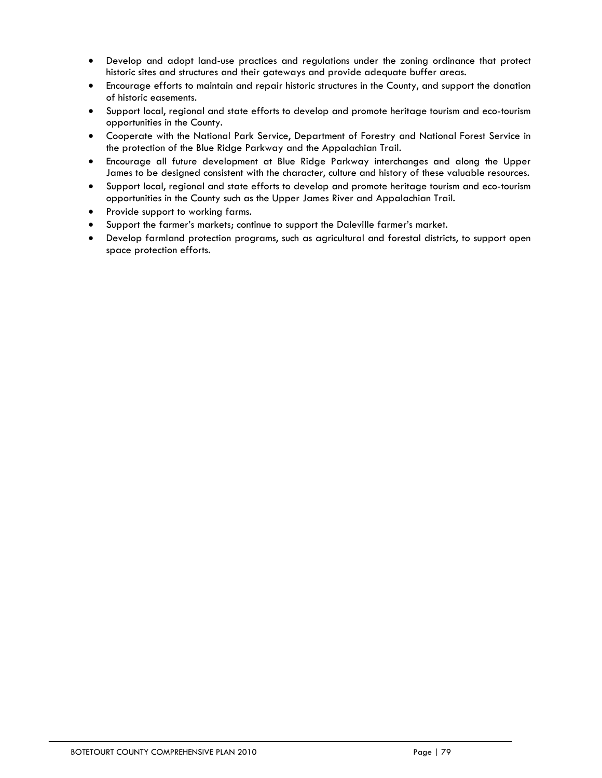- Develop and adopt land-use practices and regulations under the zoning ordinance that protect historic sites and structures and their gateways and provide adequate buffer areas.
- Encourage efforts to maintain and repair historic structures in the County, and support the donation of historic easements.
- Support local, regional and state efforts to develop and promote heritage tourism and eco-tourism opportunities in the County.
- Cooperate with the National Park Service, Department of Forestry and National Forest Service in the protection of the Blue Ridge Parkway and the Appalachian Trail.
- Encourage all future development at Blue Ridge Parkway interchanges and along the Upper James to be designed consistent with the character, culture and history of these valuable resources.
- Support local, regional and state efforts to develop and promote heritage tourism and eco-tourism opportunities in the County such as the Upper James River and Appalachian Trail.
- Provide support to working farms.
- Support the farmer's markets; continue to support the Daleville farmer's market.
- Develop farmland protection programs, such as agricultural and forestal districts, to support open space protection efforts.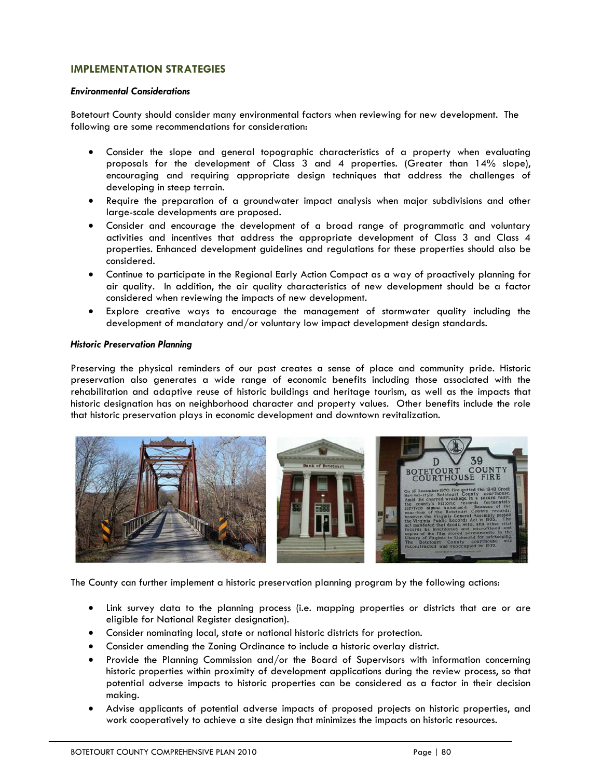# **IMPLEMENTATION STRATEGIES**

#### *Environmental Considerations*

Botetourt County should consider many environmental factors when reviewing for new development. The following are some recommendations for consideration:

- Consider the slope and general topographic characteristics of a property when evaluating proposals for the development of Class 3 and 4 properties. (Greater than 14% slope), encouraging and requiring appropriate design techniques that address the challenges of developing in steep terrain.
- Require the preparation of a groundwater impact analysis when major subdivisions and other large-scale developments are proposed.
- Consider and encourage the development of a broad range of programmatic and voluntary activities and incentives that address the appropriate development of Class 3 and Class 4 properties. Enhanced development guidelines and regulations for these properties should also be considered.
- Continue to participate in the Regional Early Action Compact as a way of proactively planning for air quality. In addition, the air quality characteristics of new development should be a factor considered when reviewing the impacts of new development.
- Explore creative ways to encourage the management of stormwater quality including the development of mandatory and/or voluntary low impact development design standards.

#### *Historic Preservation Planning*

Preserving the physical reminders of our past creates a sense of place and community pride. Historic preservation also generates a wide range of economic benefits including those associated with the rehabilitation and adaptive reuse of historic buildings and heritage tourism, as well as the impacts that historic designation has on neighborhood character and property values. Other benefits include the role that historic preservation plays in economic development and downtown revitalization.



The County can further implement a historic preservation planning program by the following actions:

- Link survey data to the planning process (i.e. mapping properties or districts that are or are eligible for National Register designation).
- Consider nominating local, state or national historic districts for protection.
- Consider amending the Zoning Ordinance to include a historic overlay district.
- Provide the Planning Commission and/or the Board of Supervisors with information concerning historic properties within proximity of development applications during the review process, so that potential adverse impacts to historic properties can be considered as a factor in their decision making.
- Advise applicants of potential adverse impacts of proposed projects on historic properties, and work cooperatively to achieve a site design that minimizes the impacts on historic resources.